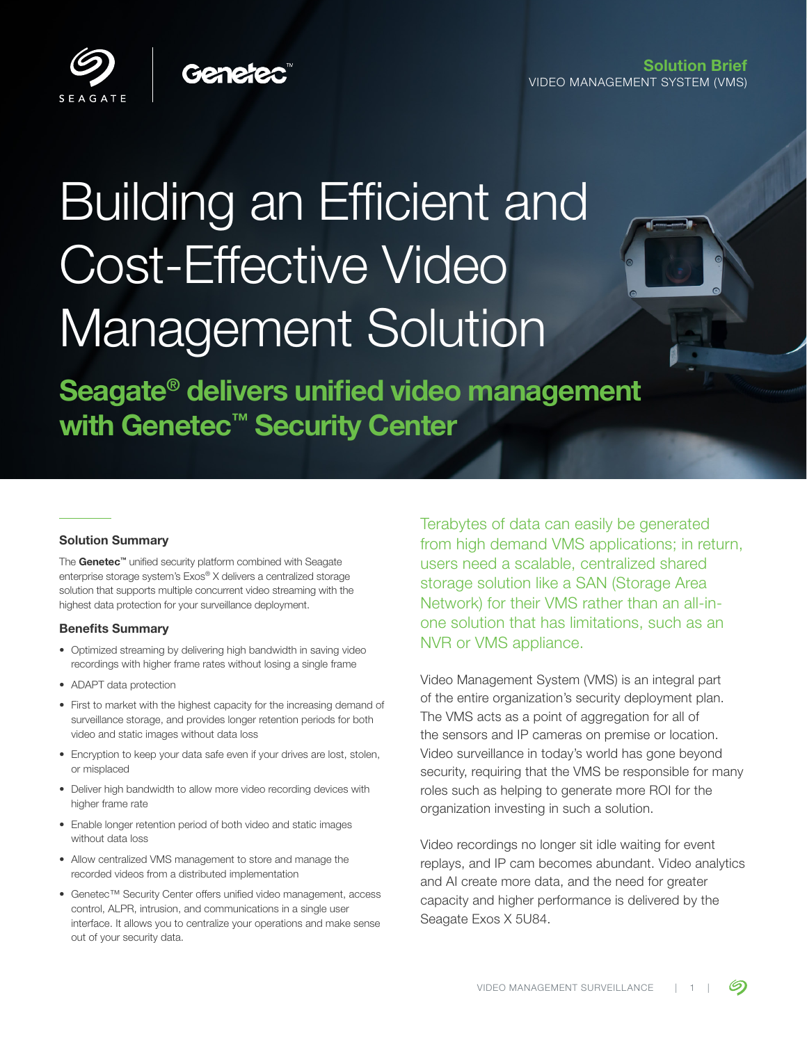Solution Brief VIDEO MANAGEMENT SYSTEM (VMS)



# Building an Efficient and Cost-Effective Video Management Solution

Seagate® delivers unified video management with Genetec<sup>™</sup> Security Center

#### Solution Summary

The Genetec™ unified security platform combined with Seagate enterprise storage system's Exos® X delivers a centralized storage solution that supports multiple concurrent video streaming with the highest data protection for your surveillance deployment.

#### Benefits Summary

- Optimized streaming by delivering high bandwidth in saving video recordings with higher frame rates without losing a single frame
- ADAPT data protection
- First to market with the highest capacity for the increasing demand of surveillance storage, and provides longer retention periods for both video and static images without data loss
- Encryption to keep your data safe even if your drives are lost, stolen, or misplaced
- Deliver high bandwidth to allow more video recording devices with higher frame rate
- Enable longer retention period of both video and static images without data loss
- Allow centralized VMS management to store and manage the recorded videos from a distributed implementation
- Genetec™ Security Center offers unified video management, access control, ALPR, intrusion, and communications in a single user interface. It allows you to centralize your operations and make sense out of your security data.

Terabytes of data can easily be generated from high demand VMS applications; in return, users need a scalable, centralized shared storage solution like a SAN (Storage Area Network) for their VMS rather than an all-inone solution that has limitations, such as an NVR or VMS appliance.

Video Management System (VMS) is an integral part of the entire organization's security deployment plan. The VMS acts as a point of aggregation for all of the sensors and IP cameras on premise or location. Video surveillance in today's world has gone beyond security, requiring that the VMS be responsible for many roles such as helping to generate more ROI for the organization investing in such a solution.

Video recordings no longer sit idle waiting for event replays, and IP cam becomes abundant. Video analytics and AI create more data, and the need for greater capacity and higher performance is delivered by the Seagate Exos X 5U84.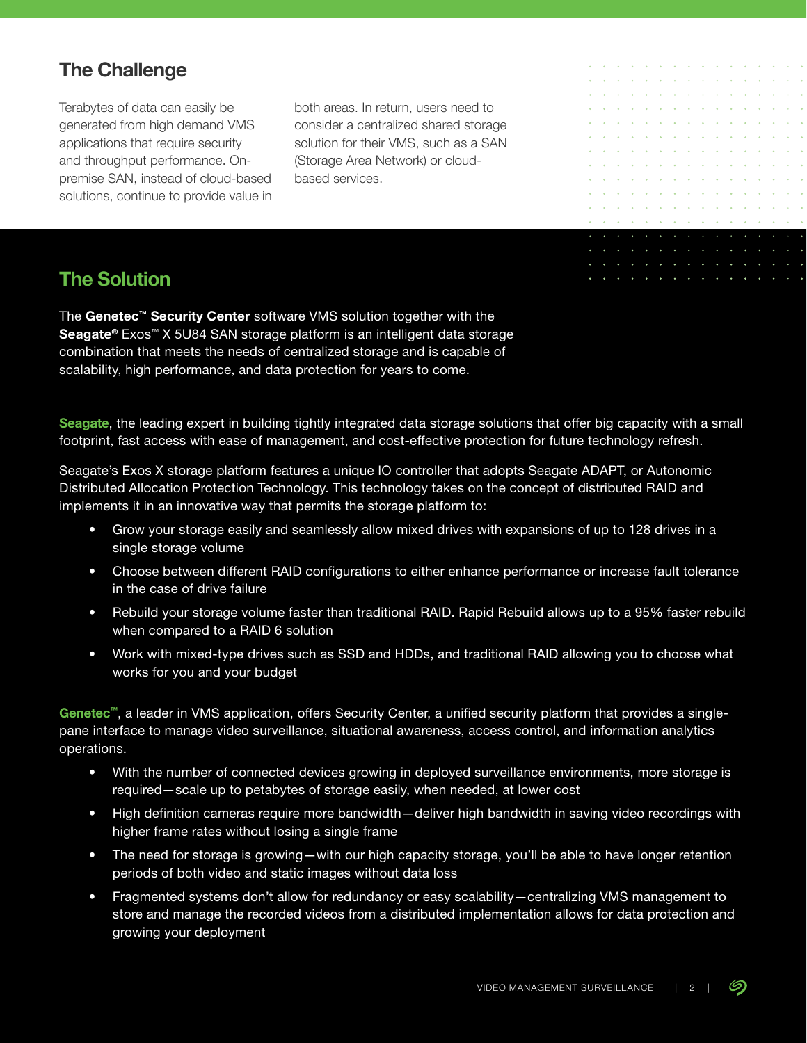# **The Challenge**

Terabytes of data can easily be generated from high demand VMS applications that require security and throughput performance. Onpremise SAN, instead of cloud-based solutions, continue to provide value in both areas. In return, users need to consider a centralized shared storage solution for their VMS, such as a SAN (Storage Area Network) or cloudbased services.

# **The Solution**

The Genetec™ Security Center software VMS solution together with the Seagate<sup>®</sup> Exos<sup>™</sup> X 5U84 SAN storage platform is an intelligent data storage combination that meets the needs of centralized storage and is capable of scalability, high performance, and data protection for years to come.

Seagate, the leading expert in building tightly integrated data storage solutions that offer big capacity with a small footprint, fast access with ease of management, and cost-effective protection for future technology refresh.

Seagate's Exos X storage platform features a unique IO controller that adopts Seagate ADAPT, or Autonomic Distributed Allocation Protection Technology. This technology takes on the concept of distributed RAID and implements it in an innovative way that permits the storage platform to:

- Grow your storage easily and seamlessly allow mixed drives with expansions of up to 128 drives in a single storage volume
- Choose between different RAID configurations to either enhance performance or increase fault tolerance in the case of drive failure
- Rebuild your storage volume faster than traditional RAID. Rapid Rebuild allows up to a 95% faster rebuild when compared to a RAID 6 solution
- Work with mixed-type drives such as SSD and HDDs, and traditional RAID allowing you to choose what works for you and your budget

Genetec™, a leader in VMS application, offers Security Center, a unified security platform that provides a singlepane interface to manage video surveillance, situational awareness, access control, and information analytics operations.

- With the number of connected devices growing in deployed surveillance environments, more storage is required—scale up to petabytes of storage easily, when needed, at lower cost
- High definition cameras require more bandwidth—deliver high bandwidth in saving video recordings with higher frame rates without losing a single frame
- The need for storage is growing—with our high capacity storage, you'll be able to have longer retention periods of both video and static images without data loss
- Fragmented systems don't allow for redundancy or easy scalability—centralizing VMS management to store and manage the recorded videos from a distributed implementation allows for data protection and growing your deployment

S. ÷.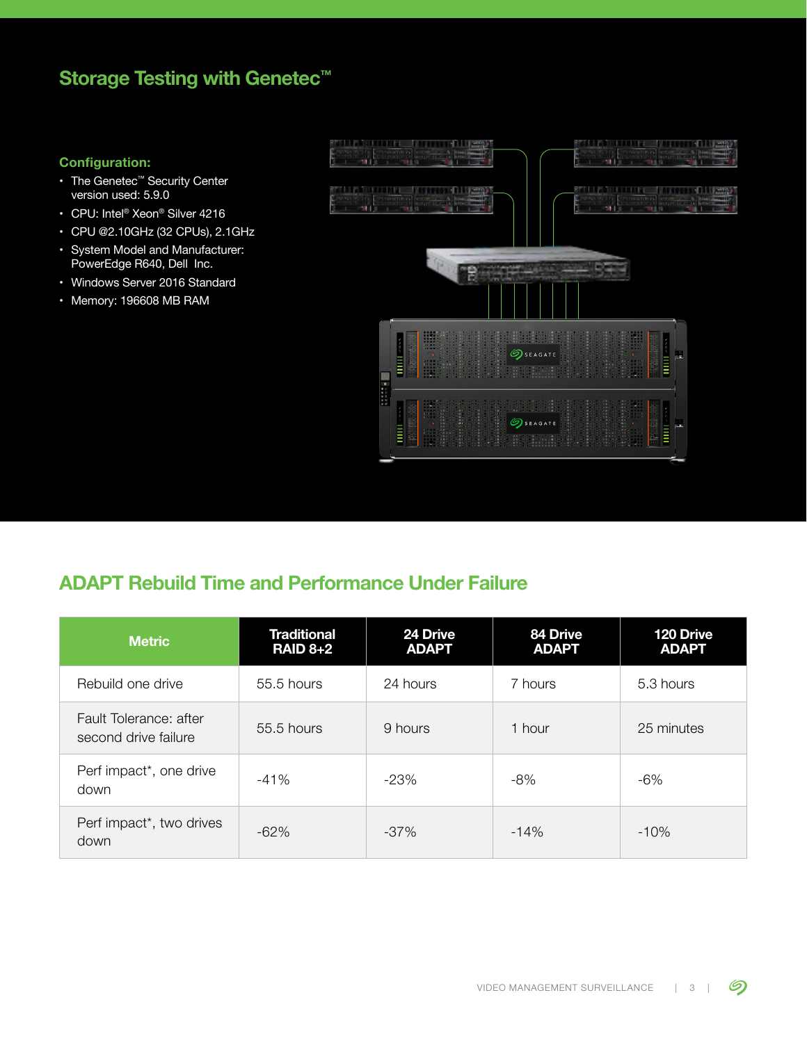# Storage Testing with Genetec<sup>™</sup>

## **Configuration:**

- The Genetec™ Security Center version used: 5.9.0
- CPU: Intel® Xeon® Silver 4216
- CPU @2.10GHz (32 CPUs), 2.1GHz
- System Model and Manufacturer: PowerEdge R640, Dell Inc.
- Windows Server 2016 Standard
- Memory: 196608 MB RAM



# ADAPT Rebuild Time and Performance Under Failure

| <b>Metric</b>                                  | <b>Traditional</b><br><b>RAID 8+2</b> | 24 Drive<br><b>ADAPT</b> | 84 Drive<br><b>ADAPT</b> | 120 Drive<br><b>ADAPT</b> |
|------------------------------------------------|---------------------------------------|--------------------------|--------------------------|---------------------------|
| Rebuild one drive                              | 55.5 hours                            | 24 hours                 | 7 hours                  | 5.3 hours                 |
| Fault Tolerance: after<br>second drive failure | 55.5 hours                            | 9 hours                  | 1 hour                   | 25 minutes                |
| Perf impact*, one drive<br>down                | $-41%$                                | $-23%$                   | $-8%$                    | $-6%$                     |
| Perf impact <sup>*</sup> , two drives<br>down  | $-62%$                                | $-37%$                   | $-14%$                   | $-10%$                    |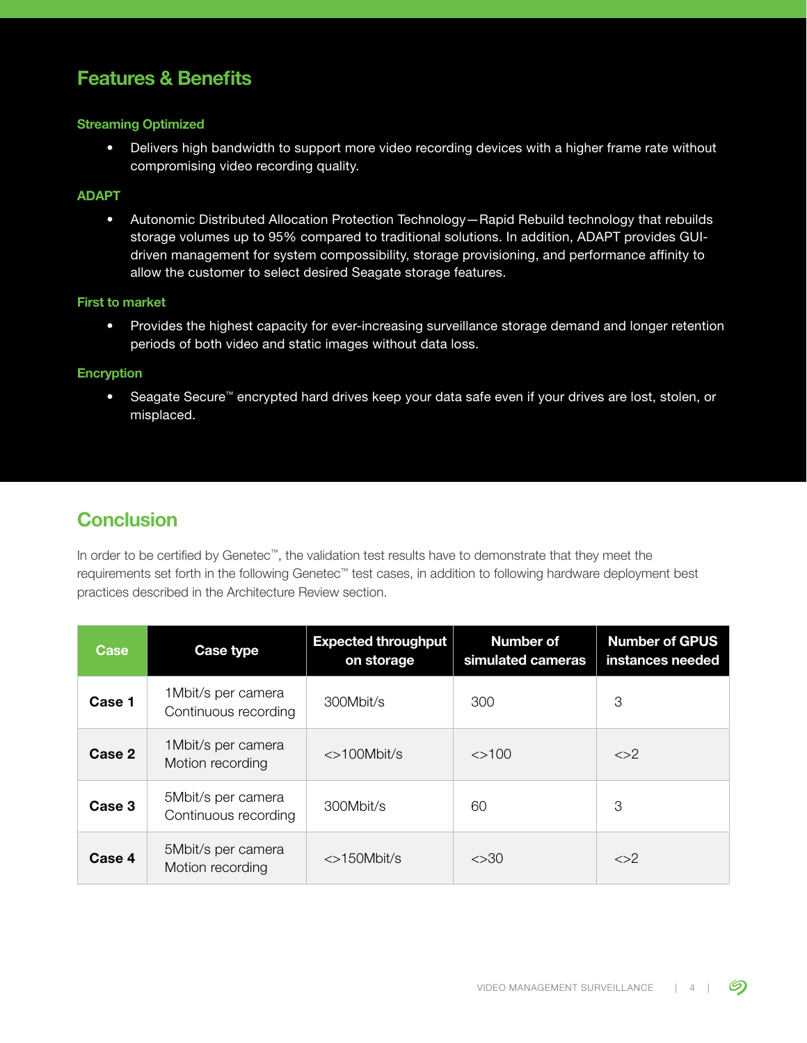## Features & Benefits

## Streaming Optimized

• Delivers high bandwidth to support more video recording devices with a higher frame rate without compromising video recording quality.

## ADAPT

• Autonomic Distributed Allocation Protection Technology—Rapid Rebuild technology that rebuilds storage volumes up to 95% compared to traditional solutions. In addition, ADAPT provides GUIdriven management for system compossibility, storage provisioning, and performance affinity to allow the customer to select desired Seagate storage features.

#### First to market

• Provides the highest capacity for ever-increasing surveillance storage demand and longer retention periods of both video and static images without data loss.

#### Encryption

• Seagate Secure™ encrypted hard drives keep your data safe even if your drives are lost, stolen, or misplaced.

## **Conclusion**

In order to be certified by Genetec™, the validation test results have to demonstrate that they meet the requirements set forth in the following Genetec™ test cases, in addition to following hardware deployment best practices described in the Architecture Review section.

| Case   | Case type                                   | <b>Expected throughput</b><br>on storage | <b>Number of</b><br>simulated cameras | <b>Number of GPUS</b><br>instances needed |
|--------|---------------------------------------------|------------------------------------------|---------------------------------------|-------------------------------------------|
| Case 1 | 1 Mbit/s per camera<br>Continuous recording | 300Mbit/s                                | 300                                   | 3                                         |
| Case 2 | 1 Mbit/s per camera<br>Motion recording     | $\langle$ >100Mbit/s                     | $\leq$ 100                            | $\langle > \rangle$                       |
| Case 3 | 5Mbit/s per camera<br>Continuous recording  | 300Mbit/s                                | 60                                    | З                                         |
| Case 4 | 5Mbit/s per camera<br>Motion recording      | $\langle$ >150Mbit/s                     | $<$ 30                                | $\langle > \rangle$                       |